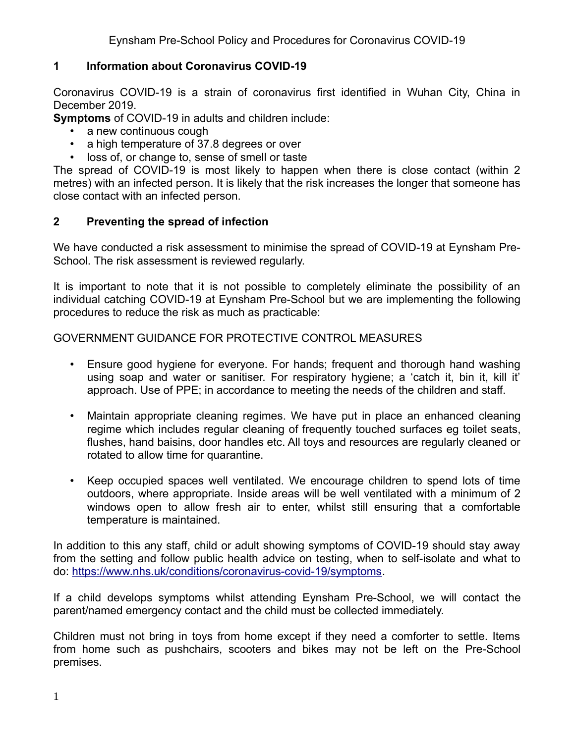## **1 Information about Coronavirus COVID-19**

Coronavirus COVID-19 is a strain of coronavirus first identified in Wuhan City, China in December 2019.

**Symptoms** of COVID-19 in adults and children include:

- a new continuous cough
- a high temperature of 37.8 degrees or over
- loss of, or change to, sense of smell or taste

The spread of COVID-19 is most likely to happen when there is close contact (within 2 metres) with an infected person. It is likely that the risk increases the longer that someone has close contact with an infected person.

#### **2 Preventing the spread of infection**

We have conducted a risk assessment to minimise the spread of COVID-19 at Eynsham Pre-School. The risk assessment is reviewed regularly.

It is important to note that it is not possible to completely eliminate the possibility of an individual catching COVID-19 at Eynsham Pre-School but we are implementing the following procedures to reduce the risk as much as practicable:

GOVERNMENT GUIDANCE FOR PROTECTIVE CONTROL MEASURES

- Ensure good hygiene for everyone. For hands; frequent and thorough hand washing using soap and water or sanitiser. For respiratory hygiene; a 'catch it, bin it, kill it' approach. Use of PPE; in accordance to meeting the needs of the children and staff.
- Maintain appropriate cleaning regimes. We have put in place an enhanced cleaning regime which includes regular cleaning of frequently touched surfaces eg toilet seats, flushes, hand baisins, door handles etc. All toys and resources are regularly cleaned or rotated to allow time for quarantine.
- Keep occupied spaces well ventilated. We encourage children to spend lots of time outdoors, where appropriate. Inside areas will be well ventilated with a minimum of 2 windows open to allow fresh air to enter, whilst still ensuring that a comfortable temperature is maintained.

In addition to this any staff, child or adult showing symptoms of COVID-19 should stay away from the setting and follow public health advice on testing, when to self-isolate and what to do: <https://www.nhs.uk/conditions/coronavirus-covid-19/symptoms>.

If a child develops symptoms whilst attending Eynsham Pre-School, we will contact the parent/named emergency contact and the child must be collected immediately.

Children must not bring in toys from home except if they need a comforter to settle. Items from home such as pushchairs, scooters and bikes may not be left on the Pre-School premises.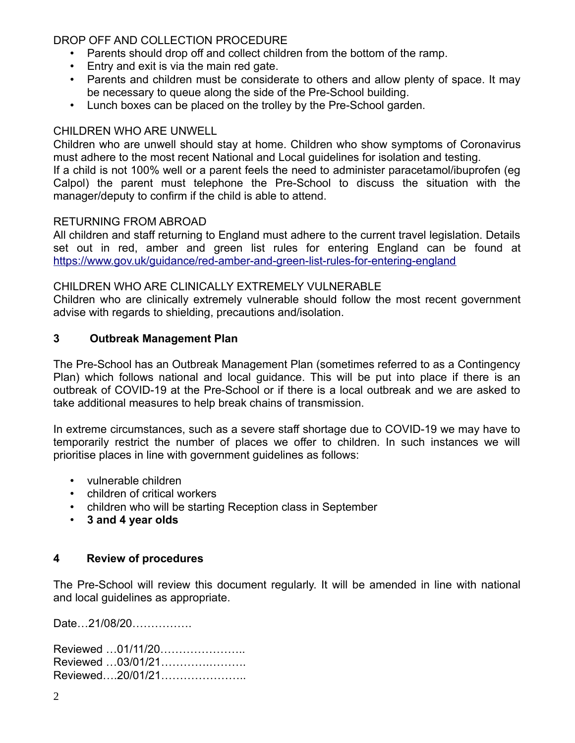## DROP OFF AND COLLECTION PROCEDURE

- Parents should drop off and collect children from the bottom of the ramp.
- Entry and exit is via the main red gate.
- Parents and children must be considerate to others and allow plenty of space. It may be necessary to queue along the side of the Pre-School building.
- Lunch boxes can be placed on the trolley by the Pre-School garden.

## CHILDREN WHO ARE UNWELL

Children who are unwell should stay at home. Children who show symptoms of Coronavirus must adhere to the most recent National and Local guidelines for isolation and testing.

If a child is not 100% well or a parent feels the need to administer paracetamol/ibuprofen (eg Calpol) the parent must telephone the Pre-School to discuss the situation with the manager/deputy to confirm if the child is able to attend.

#### RETURNING FROM ABROAD

All children and staff returning to England must adhere to the current travel legislation. Details set out in red, amber and green list rules for entering England can be found at <https://www.gov.uk/guidance/red-amber-and-green-list-rules-for-entering-england>

#### CHILDREN WHO ARE CLINICALLY EXTREMELY VULNERABLE

Children who are clinically extremely vulnerable should follow the most recent government advise with regards to shielding, precautions and/isolation.

## **3 Outbreak Management Plan**

The Pre-School has an Outbreak Management Plan (sometimes referred to as a Contingency Plan) which follows national and local guidance. This will be put into place if there is an outbreak of COVID-19 at the Pre-School or if there is a local outbreak and we are asked to take additional measures to help break chains of transmission.

In extreme circumstances, such as a severe staff shortage due to COVID-19 we may have to temporarily restrict the number of places we offer to children. In such instances we will prioritise places in line with government guidelines as follows:

- vulnerable children
- children of critical workers
- children who will be starting Reception class in September
- **3 and 4 year olds**

## **4 Review of procedures**

The Pre-School will review this document regularly. It will be amended in line with national and local guidelines as appropriate.

Date…21/08/20…………….

Reviewed …01/11/20………………….. Reviewed …03/01/21………….………. Reviewed….20/01/21…………………..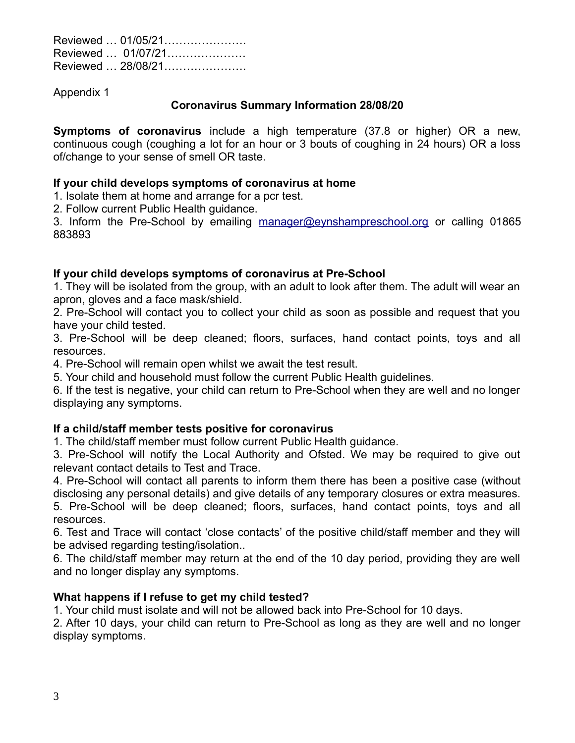Reviewed … 01/05/21…………………. Reviewed … 01/07/21………………… Reviewed … 28/08/21………………….

Appendix 1

#### **Coronavirus Summary Information 28/08/20**

**Symptoms of coronavirus** include a high temperature (37.8 or higher) OR a new, continuous cough (coughing a lot for an hour or 3 bouts of coughing in 24 hours) OR a loss of/change to your sense of smell OR taste.

#### **If your child develops symptoms of coronavirus at home**

1. Isolate them at home and arrange for a pcr test.

2. Follow current Public Health guidance.

3. Inform the Pre-School by emailing [manager@eynshampreschool.org](mailto:manager@eynshampreschool.org) or calling 01865 883893

## **If your child develops symptoms of coronavirus at Pre-School**

1. They will be isolated from the group, with an adult to look after them. The adult will wear an apron, gloves and a face mask/shield.

2. Pre-School will contact you to collect your child as soon as possible and request that you have your child tested.

3. Pre-School will be deep cleaned; floors, surfaces, hand contact points, toys and all resources.

4. Pre-School will remain open whilst we await the test result.

5. Your child and household must follow the current Public Health guidelines.

6. If the test is negative, your child can return to Pre-School when they are well and no longer displaying any symptoms.

## **If a child/staff member tests positive for coronavirus**

1. The child/staff member must follow current Public Health guidance.

3. Pre-School will notify the Local Authority and Ofsted. We may be required to give out relevant contact details to Test and Trace.

4. Pre-School will contact all parents to inform them there has been a positive case (without disclosing any personal details) and give details of any temporary closures or extra measures. 5. Pre-School will be deep cleaned; floors, surfaces, hand contact points, toys and all resources.

6. Test and Trace will contact 'close contacts' of the positive child/staff member and they will be advised regarding testing/isolation..

6. The child/staff member may return at the end of the 10 day period, providing they are well and no longer display any symptoms.

#### **What happens if I refuse to get my child tested?**

1. Your child must isolate and will not be allowed back into Pre-School for 10 days.

2. After 10 days, your child can return to Pre-School as long as they are well and no longer display symptoms.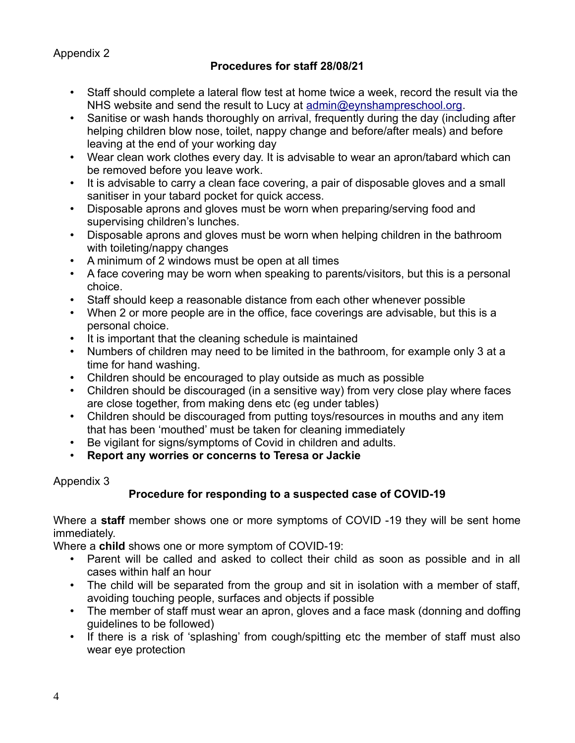Appendix 2

## **Procedures for staff 28/08/21**

- Staff should complete a lateral flow test at home twice a week, record the result via the NHS website and send the result to Lucy at [admin@eynshampreschool.org.](mailto:admin@eynshampreschool.org)
- Sanitise or wash hands thoroughly on arrival, frequently during the day (including after helping children blow nose, toilet, nappy change and before/after meals) and before leaving at the end of your working day
- Wear clean work clothes every day. It is advisable to wear an apron/tabard which can be removed before you leave work.
- It is advisable to carry a clean face covering, a pair of disposable gloves and a small sanitiser in your tabard pocket for quick access.
- Disposable aprons and gloves must be worn when preparing/serving food and supervising children's lunches.
- Disposable aprons and gloves must be worn when helping children in the bathroom with toileting/nappy changes
- A minimum of 2 windows must be open at all times
- A face covering may be worn when speaking to parents/visitors, but this is a personal choice.
- Staff should keep a reasonable distance from each other whenever possible
- When 2 or more people are in the office, face coverings are advisable, but this is a personal choice.
- It is important that the cleaning schedule is maintained
- Numbers of children may need to be limited in the bathroom, for example only 3 at a time for hand washing.
- Children should be encouraged to play outside as much as possible
- Children should be discouraged (in a sensitive way) from very close play where faces are close together, from making dens etc (eg under tables)
- Children should be discouraged from putting toys/resources in mouths and any item that has been 'mouthed' must be taken for cleaning immediately
- Be vigilant for signs/symptoms of Covid in children and adults.
- **Report any worries or concerns to Teresa or Jackie**

## Appendix 3

# **Procedure for responding to a suspected case of COVID-19**

Where a **staff** member shows one or more symptoms of COVID -19 they will be sent home immediately.

Where a **child** shows one or more symptom of COVID-19:

- Parent will be called and asked to collect their child as soon as possible and in all cases within half an hour
- The child will be separated from the group and sit in isolation with a member of staff, avoiding touching people, surfaces and objects if possible
- The member of staff must wear an apron, gloves and a face mask (donning and doffing guidelines to be followed)
- If there is a risk of 'splashing' from cough/spitting etc the member of staff must also wear eye protection